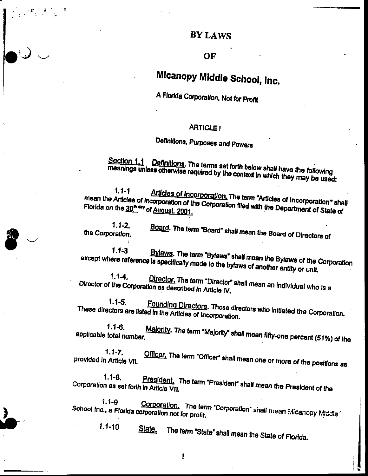### OF

# Micanopy Middle School, Inc.

A Florida Corporation, Not for Profit

### **ARTICLE!**

# Definitions, Purposes and Powers

Section 1.1 Definitions. The terms set forth below shall have the following meanings unless otherwise required by the context in which they may be used:

 $1.1 - 1$ Articles of Incorporation, The term "Articles of Incorporation" shall mean the Articles of Incorporation of the Corporation filed with the Department of State of Florida on the 30<sup>th day</sup> of August, 2001.

 $1.1 - 2.$ Board. The term "Board" shall mean the Board of Directors of the Corporation.

Bylaws. The term "Bylaws" shall mean the Bylaws of the Corporation  $1.1 - 3$ except where reference is specifically made to the bylaws of another entity or unit.

 $1.1 - 4.$ Director. The term "Director" shall mean an individual who is a Director of the Corporation as described in Article IV.

 $1.1 - 5.$ Founding Directors. Those directors who initiated the Corporation. These directors are listed in the Articles of Incorporation.

Majority. The term "Majority" shall mean fifty-one percent (51%) of the  $1.1 - 6.$ applicable total number.

 $1.1 - 7.$ Officer. The term "Officer" shall mean one or more of the positions as provided in Article VII.

 $1.1 - 8.$ President. The term "President" shall mean the President of the Corporation as set forth in Article VII.

 $1.1 - 9$ Corporation. The term "Corporation" shall mean Micanopy Middle School Inc., a Florida corporation not for profit.

 $1.1 - 10$ State, The term "State" shall mean the State of Florida.

 $\mathbf{I}$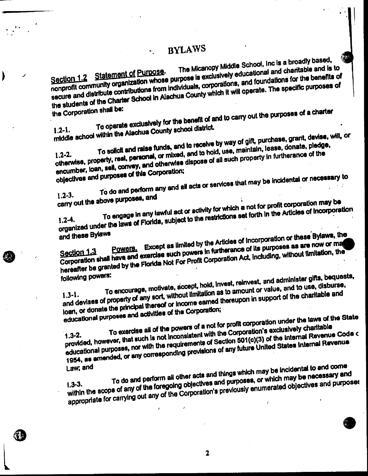The Micanopy Middle School, Inc is a broadly based, nonprofit community organization whose purpose is exclusively educational and charitable and is to secure and distribute contributions from individuals, corporations, and foundations for the benefits of the students of the Charter School in Alachua County which it will operate. The specific purposes of

the Corporation shall be:

I

线带

To operate exclusively for the benefit of and to carry out the purposes of a charter middle school within the Alachua County school district.

To solicit and raise funds, and to receive by way of gift, purchase, grant, devise, will, or otherwise, property, real, personal, or mixed, and to hold, use, maintain, lease, donate, pledge, encumber, loan, self, convey, and otherwise dispose of all such property in furtherance of the objectives and purposes of this Corporation;

To do and perform any and all acts or services that may be incidental or necessary to  $1.2 - 3.$ carry out the above purposes, and

To engage in any lawful act or activity for which a not for profit corporation may be organized under the laws of Florida, subject to the restrictions set forth in the Articles of Incorporation and these Bylaws

Powers. Except as limited by the Articles of Incorporation or these Bylaws, the Corporation shall have and exercise such powers in furtherance of its purposes as are now or ma hereafter be granted by the Florida Not For Profit Corporation Act, including, without limitation, the following powers:

To encourage, motivate, accept, hold, invest, reinvest, and administer gifts, bequests, and devises of property of any sort, without limitation as to amount or value, and to use, disburse, loan, or donate the principal thereof or income earned thereupon in support of the charitable and educational purposes and activities of the Corporation;

To exercise all of the powers of a not for profit corporation under the laws of the State provided, however, that such is not inconsistent with the Corporation's exclusively charitable educational purposes, nor with the requirements of Section 501(c)(3) of the Internal Revenue Code of 1954, as amended, or any corresponding provisions of any future United States Internal Revenue. Law; and

To do and perform all other acts and things which may be incidental to and come within the scope of any of the foregoing objectives and purposes, or which may be necessary and appropriate for carrying out any of the Corporation's previously enumerated objectives and purposes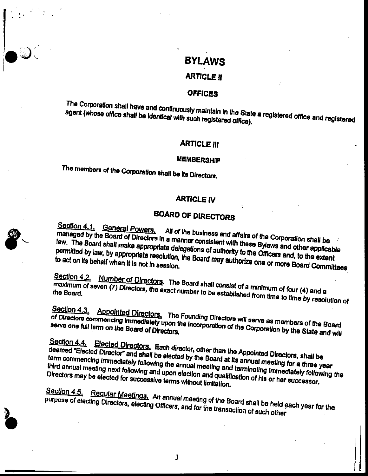### **ARTICLE II**

### **OFFICES**

The Corporation shall have and continuously maintain in the State a registered office and registered agent (whose office shall be identical with such registered office).

### **ARTICLE III**

### **MEMBERSHIP**

The members of the Corporation shall be its Directors.

### **ARTICLE IV**

# **BOARD OF DIRECTORS**

Section 4.1. General Powers. All of the business and affairs of the Corporation shall be managed by the Board of Directors in a manner consistent with these Bylaws and other applicable law. The Board shall make appropriate delegations of authority to the Officers and, to the extent permitted by law, by appropriate resolution, the Board may authorize one or more Board Committees

Section 4.2. Number of Directors. The Board shall consist of a minimum of four (4) and a maximum of seven (7) Directors, the exact number to be established from time to time by resolution of

Section 4.3. Appointed Directors. The Founding Directors will serve as members of the Board of Directors commencing immediately upon the incorporation of the Corporation by the State and will

Section 4.4. Elected Directors, Each director, other than the Appointed Directors, shall be deemed "Elected Director" and shall be elected by the Board at its annual meeting for a three year term commencing immediately following the annual meeting and terminating immediately following the third annual meeting next following and upon election and qualification of his or her successor. Directors may be elected for successive terms without limitation.

Section 4.5. Regular Meetings. An annual meeting of the Board shall be held each year for the purpose of electing Directors, electing Officers, and for the transaction of such other

 $\overline{\mathbf{3}}$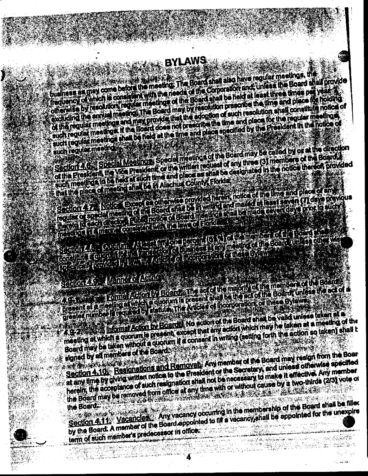business as may come before the meeting: The Board shall also have regular meetings, the frequency of which is comed in with the needs of the Corporation and unless the Board shall provide otherwise by resolutors regular meetings of the Board shall be held at least three times per years. excluding the annual meeting. The Board may by resolution prescribe the time and place for holding of the regular meetings and max provide that the adoption of auch resolution shall constitute notice of such regular meetings. If the Board does not prescribe the time and place for the regular meetings such regular meetings shall be held at the time and place specified by the Freeldont in the hotice of

Section 4.6. Special Meetings: Special meetings of the Board may be called by or at the direction such regular meeting of the President, the Vice President or the written request of any three (3) members of the Board. such meetings to he had at such this and place as shall be dealgriated in the notice thereof provided that the place of meeting shall be in Alachua County, Florida

Section 477 Notice Except 4 otherwise provided herein, notice of the time and place of any requisit of special meeting of the Econo shall be in writing and maled at least seven (7) days previous ingreto la escritoria de contrario de la característica e la marquesta de version de la prior la suchi mento di altitudi di considerativi di devico Ebrida.

# Seellon 4.0. Manner of Actual

4.95 New York Decision by Board, The Ect of the majority of the members of the Board present at a meeting at which a cubium is present shall be the act of the Boards unless the act of a greater mimodel of card real by damiter the Anicos of Incorporations of these Bylaws **4.9-2** This many Action by Educate No action of the Board shall be valid unless taken at a meeting at which a quorum is present, except that any action which may he laken at a meeting of the

Board may be laken without a quorum if a consent in writing (setting forth the action so taken) shall t signed by all members of the Board. A SAN DI SAN SERI

Section 4.10. Resignations and Removal: Any member of the Board may resign from the Boar at any time by giving written notice to the President of the Secretary, and unless otherwise specified herein, the acceptance of such resignation shall not be necessary to make it effective. Any member the Board may be removed from office at any time with or without cause by a two-thirds (2/3) vote of r villa hellen eta alarregea dira eta eta alarregea. the Board.

Section 4.11. Vacancles. Any vacancy occurring in the membership of the Board shall be filled by the Board. A member of the Board appointed to rilf a vacancy, shall be appointed for the unexpire term of such member's predecessor in office.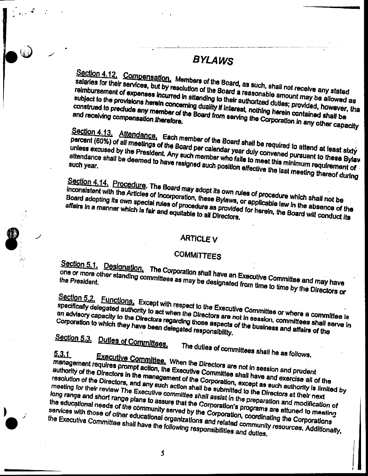Section 4.12. Compensation. Members of the Board, as such, shall not receive any stated salaries for their services, but by resolution of the Board a reasonable amount may be allowed as reimbursement of expenses incurred in attending to their authorized duties; provided, however, that subject to the provisions herein concerning duality if interest, nothing herein contained shall be construed to preclude any member of the Board from serving the Corporation in any other capacity and receiving compensation therefore.

Section 4.13. Attendance, Each member of the Board shall be required to attend at least sixty percent (60%) of all meetings of the Board per calendar year duly convened pursuant to these Bylaw unless excused by the President. Any such member who fails to meet this minimum requirement of attendance shall be deemed to have resigned such position effective the last meeting thereof during

Section 4.14. Procedure. The Board may adopt its own rules of procedure which shall not be inconsistent with the Articles of Incorporation, these Bylaws, or applicable law in the absence of the Board adopting its own special rules of procedure as provided for herein, the Board will conduct its affairs in a manner which is fair and equitable to all Directors.

### **ARTICLE V**

### **COMMITTEES**

Section 5.1. Designation. The Corporation shall have an Executive Committee and may have one or more other standing committees as may be designated from time to time by the Directors or

Section 5.2. Functions. Except with respect to the Executive Committee or where a committee is specifically delegated authority to act when the Directors are not in session, committees shall serve in an advisory capacity to the Directors regarding those aspects of the business and affairs of the Corporation to which they have been delegated responsibility.

# Section 5.3. Dutles of Committees.

The duties of committees shall he as follows.

## $5.3.1$

Executive Committee, When the Directors are not in session and prudent management requires prompt action, the Executive Committee shall have and exercise all of the authority of the Directors in the management of the Corporation, except as such authority is limited by resolution of the Directors, and any such action shall be submitted to the Directors at their next meeting for their review The Executive committee shall assist in the preparation and modification of long range and short range plans to assure that the Corporation's programs are attuned to meeting the educational needs of the community served by the Corporation, coordinating the Corporations services with those of other educational organizations and related community resources. Additionally, the Executive Committee shall have the following responsibilities and duties.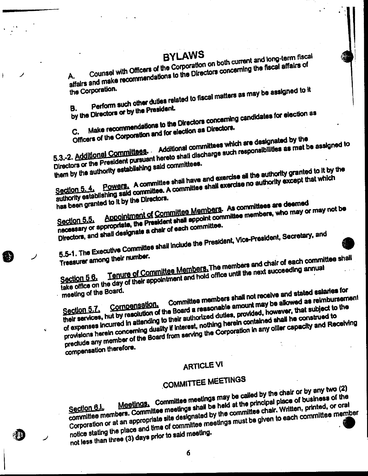Counsel with Officers of the Corporation on both current and long-term fiscal affairs and make recommendations to the Directors concerning the fiscal affairs of

Perform such other duties related to fiscal matters as may be assigned to it the Corporation.

by the Directors or by the President. В.

Make recommendations to the Directors concerning candidates for election as

Officers of the Corporation and for election as Directors.

5.3.-2. Additional Committees. Additional committees which are designated by the Directors or the President pursuant hereto shall discharge such responsibilities as mat be assigned to them by the authority estabilshing said committees.

Powers. A committee shall have and exercise all the authority granted to it by the authority establishing said committee. A committee shall exercise no authority except that which

has been granted to it by the Directors.

Appointment of Committee Members. As committees are deemed necessary or appropriate, the President shall appoint committee members, who may or may not be Directors, and shall designate a chair of each committee.

5.5-1. The Executive Committee shall include the President, Vice-President, Secretary, and

Treasurer among their number.

k.

Tenure of Committee Members. The members and chair of each committee shall take office on the day of their appointment and hold office until the next succeeding annual Committee members shall not receive and stated salaries for meeting of the Board.

their services, hut by resolution of the Board a reasonable amount may be allowed as reimbursement of expenses incurred in attending to their authorized duties, provided, however, that subject to the provisions herein concerning duality if interest, nothing herein contained shall he construed to preclude any member of the Board from serving the Corporation in any oiller capacity and Receiving compensation therefore.

# **ARTICLE VI**

# **COMMITTEE MEETINGS**

Meetings. Committee meetings may be called by the chair or by any two (2) committee members. Committee meetings shall be held at the principal place of business of the Corporation or at an appropriate site designated by the committee chair. Written, printed, or oral notice stating the place and time of committee meetings must be given to each committee member not less than three (3) days prior to said meeting.

6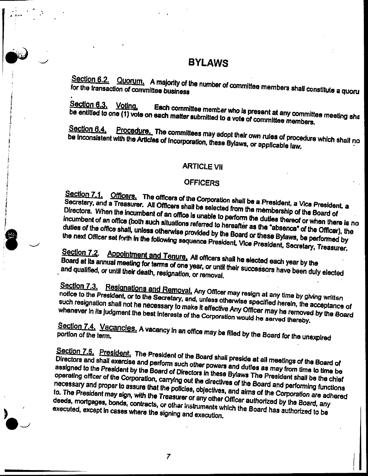Section 6.2. Quorum. A majority of the number of committee members shall constitute a quoru

Section 6.3. Voting, Each committee member who is present at any committee meeting sha be entitled to one (1) vote on each matter submitted to a vote of committee members.

Procedure. The committees may adopt their own rules of procedure which shall no Section 6.4. be inconsistent with the Articles of Incorporation, these Bylaws, or applicable law.

### **ARTICLE VII**

### **OFFICERS**

Section 7.1. Officers. The officers of the Corporation shall be a President, a Vice President. a Secretary, and a Treasurer. All Officers shall be selected from the membership of the Board of Directors. When the incumbent of an office is unable to perform the duties thereof or when there is no incumbent of an office (both such situations referred to hereafter as the "absence" of the Officer), the duties of the office shall, unless otherwise provided by the Board or these Bylaws, be performed by the next Officer set forth in the following sequence President, Vice President, Secretary, Treasurer.

Section 7.2. Appointment and Tenure, All officers shall he elected each year by the Board at its annual meeting for terms of one year, or until their successors have been duly elected and qualified, or until their death, resignation, or removal.

Section 7.3. Resignations and Removal, Any Officer may resign at any time by giving written notice to the President, or to the Secretary, and, unless otherwise specified herein, the acceptance of such resignation shall not he necessary to make it effective Any Officer may he removed by the Board whenever in its judgment the best interests of the Corporation would he served thereby.

Section 7.4. Vacancies. A vacancy in an office may be filled by the Board for the unexpired portion of the term.

Section 7.5. President. The President of the Board shall preside at all meetings of the Board of Directors and shall exercise and perform such other powers and duties as may from time to time be assigned to the President by the Board of Directors in these Bylaws The President shall be the chief operating officer of the Corporation, carrying out the directives of the Board and performing functions necessary and proper to assure that the policies, objectives, and aims of the Corporation are adhered to. The President may sign, with the Treasurer or any other Officer authorized by the Board, any deeds, mortgages, bonds, contracts, or other instruments which the Board has authorized to be executed, except in cases where the signing and execution.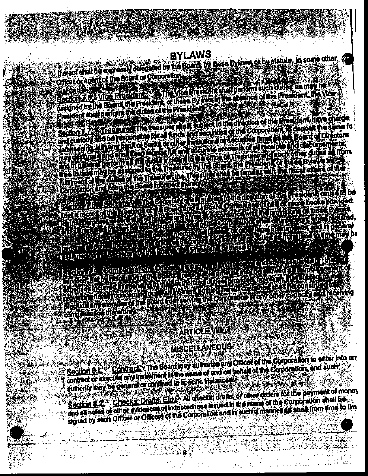thereof shall be expressly delegated by the Board, by these Bylaws, or by statute, to some other Officer or agent of the Board or Corporation

Section 7.6. Vice President & The Vice President shall perform such duties as may he assigned by the Board the President of these Bylaws in the absence of the President, the Vice President shall perform the duties of the President **The County of the County** 

Section 7.7. Treasurer, The treasurer shall subject to the direction of the Prealdent have charge and custody and be responsible for all funds and securities of the Corporation, for deposit the same for salake ping with any bank of banks of other matteries of securities firms as the Board of Directors. may construct and ahali keep regular full and accurate accounts of all receiptor and disbursements. and in goneral perform all the outless incident to the office of Treasurer and such other duties as from this to time may be assumed to the Trossurer by the Board; the President of these Bylaws Instal fulniment of the Autos of the Treasurer, the Treasurer shall be familiar with the flacel effere of the Corporation and keep the Board Informed thereof:

entrance to the forestart by the light find free of the distribution of the collection

Constant Comptantion Chest, through the principal constant that experience and the first product of the south of a control of the state of the state of the state of the state of the state of the state of the state of the state of the state of the state of the state of the state of the provisions herein concerning cuality it interest fiolding herein contained shall he constructed to preclude any member of the Board from serving the Corporation in any other capacity and receiving compensation therefore

# **ARTICLE VIII ARTICLE VIII.**

# **MISCELLANEOUS**

15343.4 **RANCH** 

ا عشههها

Section 8.1. Contract: The Board may authorize any Officer of the Corporation to enter into any contract or execute any instrument in the name of and on behalf of the Corporation, and such authority may be general or confined to specific instances. A MARITA AND

Section 8.2. Checks: Drafts: Etc. All checker drafts or other orders for the payment of money<br>and all notes or other evidences of Indebtedness issued in the name of the Corporation shall be signed by such Officer or Officers of the Corporation and in such a manner as shall from time to time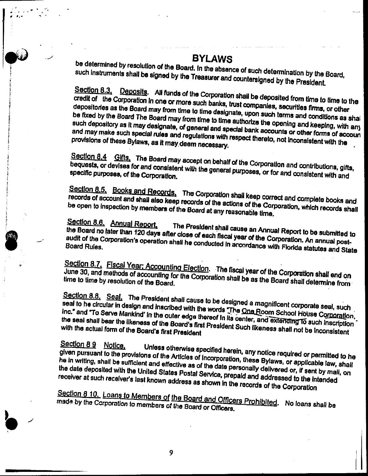be determined by resolution of the Board. In the absence of such determination by the Board, such instruments shall be signed by the Treasurer and countersigned by the President.

Section 8.3. Deposits. All funds of the Corporation shall be deposited from time to time to the credit of the Corporation in one or more such banks, trust companies, securities firms, or other depositories as the Board may from time to time designate, upon such terms and conditions as shall be fixed by the Board The Board may from time to time authorize the opening and keeping, with any such depository as it may designate, of general and special bank accounts or other forms of accoun and may make such special rules and regulations with respect thereto, not inconsistent with the provisions of these Bylaws, as it may deem necessary.

Section 8.4 Gifts. The Board may accept on behalf of the Corporation and contributions, gifts, bequests, or devises for and consistent with the general purposes, or for and consistent with and

Section 8.5. Books and Records. The Corporation shall keep correct and complete books and records of account and shall also keep records of the actions of the Corporation, which records shall be open to inspection by members of the Board at any reasonable time.

# Section 8.6. Annual Report,

The President shall cause an Annual Report to be submitted to the Board no later than 120 days after close of each fiscal year of the Corporation. An annual postaudit of the Corporation's operation shall he conducted in accordance with Florida statutes and State

Section 8.7. Fiscal Year: Accounting Election. The fiscal year of the Corporation shall end on June 30, and methods of accounting for the Corporation shall be as the Board shall determine from

Section 8.8. Seal. The President shall cause to be designed a magnificent corporate seal, such seal to he circular in design and inscribed with the words The One Room School House Corporation, Inc." and "To Serve Mankind' in the outer edge thereof in its center, and extending to such inscription the seal shall bear the likeness of the Board's first President Such likeness shall not be inconsistent with the actual form of the Board's first President

### Section 8.9 Notice.

Unless otherwise specified herein, any notice required or permitted to he given pursuant to the provisions of the Articles of incorporation, these Bylaws, or applicable law, shall he in writing, shall be sufficient and effective as of the date personally delivered or, if sent by mail, on the date deposited with the United States Postal Service, prepaid and addressed to the Intended receiver at such receiver's last known address as shown in the records of the Corporation

Section 8 10. Loans to Members of the Board and Officers Prohibited. No loans shall be made by the Corporation to members of the Board or Officers.